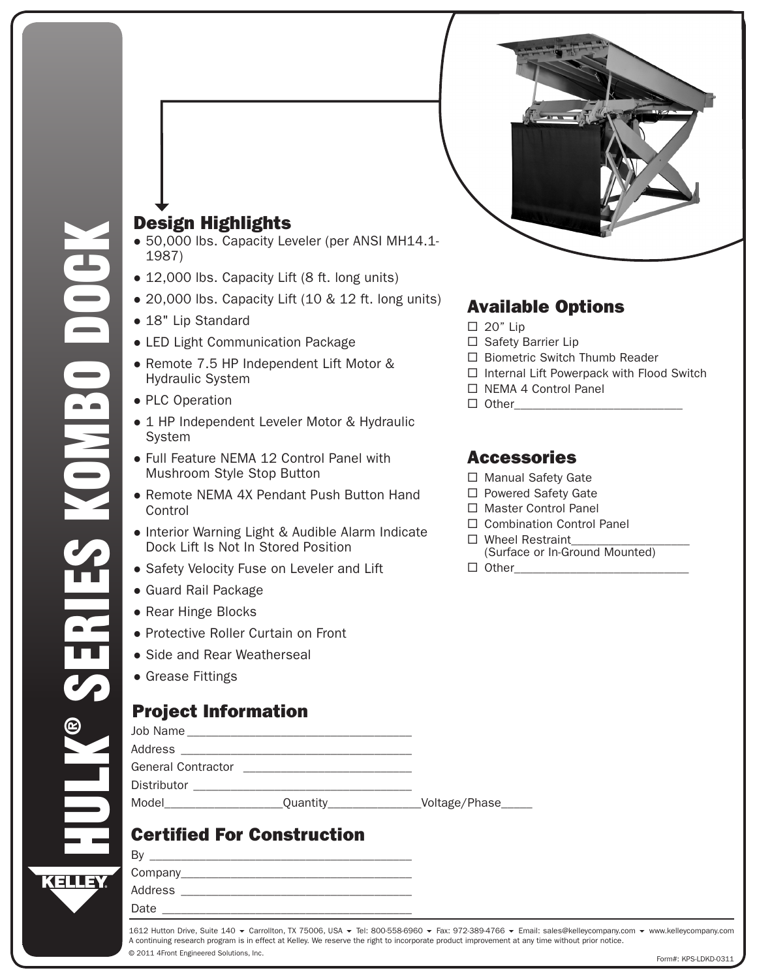



- 50,000 lbs. Capacity Leveler (per ANSI MH14.1-1987)
- 12,000 lbs. Capacity Lift (8 ft. long units)
- 20,000 lbs. Capacity Lift (10 & 12 ft. long units)
- 18" Lip Standard
- LED Light Communication Package
- Remote 7.5 HP Independent Lift Motor & Hydraulic System
- PLC Operation
- 1 HP Independent Leveler Motor & Hydraulic **System**
- Full Feature NEMA 12 Control Panel with Mushroom Style Stop Button
- Remote NEMA 4X Pendant Push Button Hand Control
- Interior Warning Light & Audible Alarm Indicate Dock Lift Is Not In Stored Position
- Safety Velocity Fuse on Leveler and Lift
- Guard Rail Package
- Rear Hinge Blocks
- Protective Roller Curtain on Front
- Side and Rear Weatherseal
- Grease Fittings

## Project Information

| Job Name           |          |               |
|--------------------|----------|---------------|
| Address            |          |               |
| General Contractor |          |               |
| Distributor        |          |               |
| Model              | Quantity | Voltage/Phase |

# Certified For Construction

| B١      |  |  |
|---------|--|--|
| Company |  |  |
| Address |  |  |
| Date    |  |  |
|         |  |  |

# D O C K L I F T & D O C K L E V E L E R C O M B I N A T I O N

## Available Options

- $\Box$  20" Lip
- $\Box$  Safety Barrier Lip
- $\Box$  Biometric Switch Thumb Reader
- $\Box$  Internal Lift Powerpack with Flood Switch
- □ NEMA 4 Control Panel
- $\Box$  Other

### Accessories

- □ Manual Safety Gate
- □ Powered Safety Gate
- □ Master Control Panel
- □ Combination Control Panel
- $\Box$  Wheel Restraint
	- (Surface or In-Ground Mounted)
- $\Box$  Other

© 2011 4Front Engineered Solutions, Inc. 1612 Hutton Drive, Suite 140 ▼ Carrollton, TX 75006, USA ▼ Tel: 800-558-6960 ▼ Fax: 972-389-4766 ▼ Email: sales@kelleycompany.com ▼ www.kelleycompany.com A continuing research program is in effect at Kelley. We reserve the right to incorporate product improvement at any time without prior notice.